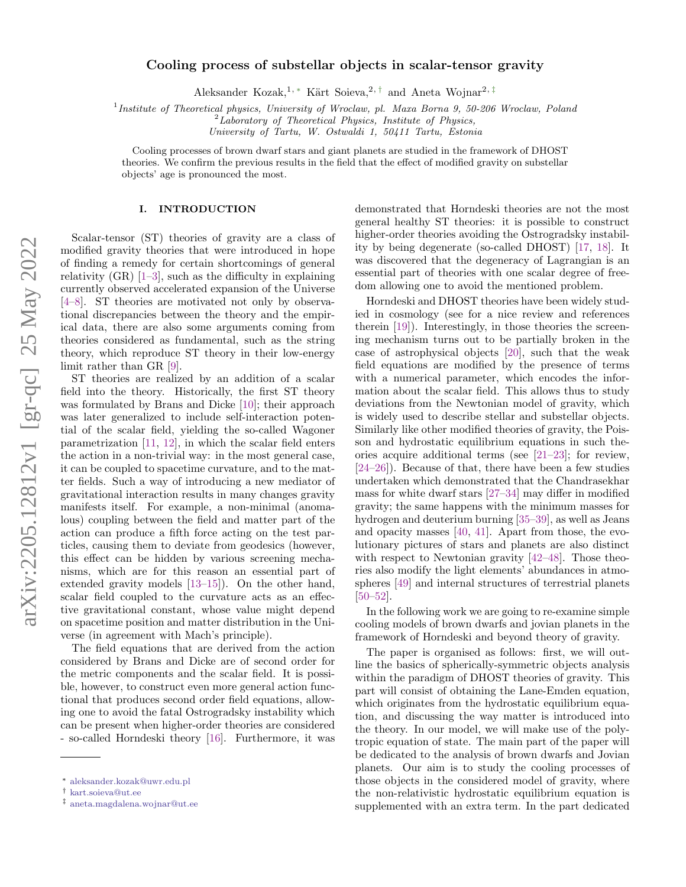# Cooling process of substellar objects in scalar-tensor gravity

Aleksander Kozak,<sup>1,\*</sup> Kärt Soieva,<sup>2,[†](#page-0-1)</sup> and Aneta Wojnar<sup>2,[‡](#page-0-2)</sup>

<sup>1</sup>Institute of Theoretical physics, University of Wroclaw, pl. Maxa Borna 9, 50-206 Wroclaw, Poland

 $2$ Laboratory of Theoretical Physics, Institute of Physics,

University of Tartu, W. Ostwaldi 1, 50411 Tartu, Estonia

Cooling processes of brown dwarf stars and giant planets are studied in the framework of DHOST theories. We confirm the previous results in the field that the effect of modified gravity on substellar objects' age is pronounced the most.

# I. INTRODUCTION

Scalar-tensor (ST) theories of gravity are a class of modified gravity theories that were introduced in hope of finding a remedy for certain shortcomings of general relativity  $(GR)$  [\[1–](#page-8-0)[3\]](#page-8-1), such as the difficulty in explaining currently observed accelerated expansion of the Universe [\[4–](#page-8-2)[8\]](#page-9-0). ST theories are motivated not only by observational discrepancies between the theory and the empirical data, there are also some arguments coming from theories considered as fundamental, such as the string theory, which reproduce ST theory in their low-energy limit rather than GR [\[9\]](#page-9-1).

ST theories are realized by an addition of a scalar field into the theory. Historically, the first ST theory was formulated by Brans and Dicke [\[10\]](#page-9-2); their approach was later generalized to include self-interaction potential of the scalar field, yielding the so-called Wagoner parametrization [\[11,](#page-9-3) [12\]](#page-9-4), in which the scalar field enters the action in a non-trivial way: in the most general case, it can be coupled to spacetime curvature, and to the matter fields. Such a way of introducing a new mediator of gravitational interaction results in many changes gravity manifests itself. For example, a non-minimal (anomalous) coupling between the field and matter part of the action can produce a fifth force acting on the test particles, causing them to deviate from geodesics (however, this effect can be hidden by various screening mechanisms, which are for this reason an essential part of extended gravity models [\[13–](#page-9-5)[15\]](#page-9-6)). On the other hand, scalar field coupled to the curvature acts as an effective gravitational constant, whose value might depend on spacetime position and matter distribution in the Universe (in agreement with Mach's principle).

The field equations that are derived from the action considered by Brans and Dicke are of second order for the metric components and the scalar field. It is possible, however, to construct even more general action functional that produces second order field equations, allowing one to avoid the fatal Ostrogradsky instability which can be present when higher-order theories are considered - so-called Horndeski theory [\[16\]](#page-9-7). Furthermore, it was

demonstrated that Horndeski theories are not the most general healthy ST theories: it is possible to construct higher-order theories avoiding the Ostrogradsky instability by being degenerate (so-called DHOST) [\[17,](#page-9-8) [18\]](#page-9-9). It was discovered that the degeneracy of Lagrangian is an essential part of theories with one scalar degree of freedom allowing one to avoid the mentioned problem.

Horndeski and DHOST theories have been widely studied in cosmology (see for a nice review and references therein [\[19\]](#page-9-10)). Interestingly, in those theories the screening mechanism turns out to be partially broken in the case of astrophysical objects [\[20\]](#page-9-11), such that the weak field equations are modified by the presence of terms with a numerical parameter, which encodes the information about the scalar field. This allows thus to study deviations from the Newtonian model of gravity, which is widely used to describe stellar and substellar objects. Similarly like other modified theories of gravity, the Poisson and hydrostatic equilibrium equations in such theories acquire additional terms (see [\[21–](#page-9-12)[23\]](#page-9-13); for review, [\[24–](#page-9-14)[26\]](#page-9-15)). Because of that, there have been a few studies undertaken which demonstrated that the Chandrasekhar mass for white dwarf stars [\[27](#page-9-16)[–34\]](#page-9-17) may differ in modified gravity; the same happens with the minimum masses for hydrogen and deuterium burning [\[35](#page-9-18)[–39\]](#page-9-19), as well as Jeans and opacity masses [\[40,](#page-9-20) [41\]](#page-9-21). Apart from those, the evolutionary pictures of stars and planets are also distinct with respect to Newtonian gravity [\[42](#page-9-22)[–48\]](#page-9-23). Those theories also modify the light elements' abundances in atmospheres [\[49\]](#page-9-24) and internal structures of terrestrial planets [\[50–](#page-9-25)[52\]](#page-9-26).

In the following work we are going to re-examine simple cooling models of brown dwarfs and jovian planets in the framework of Horndeski and beyond theory of gravity.

The paper is organised as follows: first, we will outline the basics of spherically-symmetric objects analysis within the paradigm of DHOST theories of gravity. This part will consist of obtaining the Lane-Emden equation, which originates from the hydrostatic equilibrium equation, and discussing the way matter is introduced into the theory. In our model, we will make use of the polytropic equation of state. The main part of the paper will be dedicated to the analysis of brown dwarfs and Jovian planets. Our aim is to study the cooling processes of those objects in the considered model of gravity, where the non-relativistic hydrostatic equilibrium equation is supplemented with an extra term. In the part dedicated

<span id="page-0-0"></span><sup>∗</sup> [aleksander.kozak@uwr.edu.pl](mailto:aleksander.kozak@uwr.edu.pl)

<span id="page-0-1"></span><sup>†</sup> [kart.soieva@ut.ee](mailto:kart.soieva@ut.ee)

<span id="page-0-2"></span><sup>‡</sup> [aneta.magdalena.wojnar@ut.ee](mailto:aneta.magdalena.wojnar@ut.ee)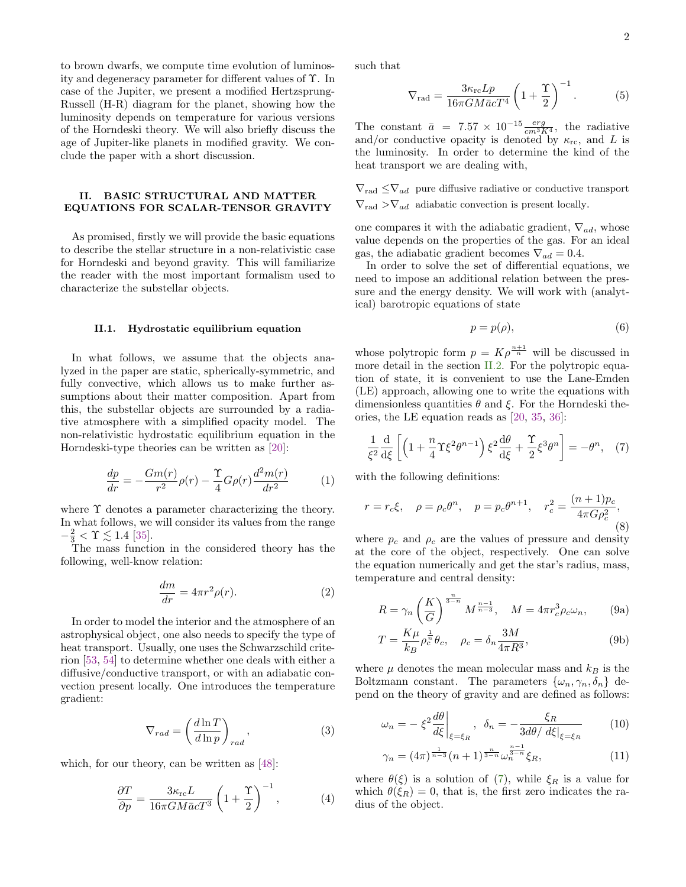to brown dwarfs, we compute time evolution of luminosity and degeneracy parameter for different values of Υ. In case of the Jupiter, we present a modified Hertzsprung-Russell (H-R) diagram for the planet, showing how the luminosity depends on temperature for various versions of the Horndeski theory. We will also briefly discuss the age of Jupiter-like planets in modified gravity. We conclude the paper with a short discussion.

# <span id="page-1-2"></span>II. BASIC STRUCTURAL AND MATTER EQUATIONS FOR SCALAR-TENSOR GRAVITY

As promised, firstly we will provide the basic equations to describe the stellar structure in a non-relativistic case for Horndeski and beyond gravity. This will familiarize the reader with the most important formalism used to characterize the substellar objects.

#### II.1. Hydrostatic equilibrium equation

In what follows, we assume that the objects analyzed in the paper are static, spherically-symmetric, and fully convective, which allows us to make further assumptions about their matter composition. Apart from this, the substellar objects are surrounded by a radiative atmosphere with a simplified opacity model. The non-relativistic hydrostatic equilibrium equation in the Horndeski-type theories can be written as [\[20\]](#page-9-11):

<span id="page-1-3"></span>
$$
\frac{dp}{dr} = -\frac{Gm(r)}{r^2}\rho(r) - \frac{\Upsilon}{4}G\rho(r)\frac{d^2m(r)}{dr^2}
$$
(1)

where  $\Upsilon$  denotes a parameter characterizing the theory. In what follows, we will consider its values from the range  $-\frac{2}{3} < \Upsilon \lesssim 1.4$  [\[35\]](#page-9-18).

The mass function in the considered theory has the following, well-know relation:

$$
\frac{dm}{dr} = 4\pi r^2 \rho(r). \tag{2}
$$

In order to model the interior and the atmosphere of an astrophysical object, one also needs to specify the type of heat transport. Usually, one uses the Schwarzschild criterion [\[53,](#page-9-27) [54\]](#page-9-28) to determine whether one deals with either a diffusive/conductive transport, or with an adiabatic convection present locally. One introduces the temperature gradient:

$$
\nabla_{rad} = \left(\frac{d\ln T}{d\ln p}\right)_{rad},\tag{3}
$$

which, for our theory, can be written as [\[48\]](#page-9-23):

$$
\frac{\partial T}{\partial p} = \frac{3\kappa_{\rm rc}L}{16\pi GM\bar{a}cT^3} \left(1 + \frac{\Upsilon}{2}\right)^{-1},\tag{4}
$$

such that

<span id="page-1-4"></span>
$$
\nabla_{\text{rad}} = \frac{3\kappa_{\text{rc}} L p}{16\pi G M \bar{a} c T^4} \left(1 + \frac{\Upsilon}{2}\right)^{-1}.
$$
 (5)

The constant  $\bar{a} = 7.57 \times 10^{-15} \frac{erg}{cm^3 K^4}$ , the radiative and/or conductive opacity is denoted by  $\kappa_{\rm rc}$ , and L is the luminosity. In order to determine the kind of the heat transport we are dealing with,

 $\nabla_{\rm rad} \leq \nabla_{ad}$  pure diffusive radiative or conductive transport  $\nabla_{\text{rad}} > \nabla_{ad}$  adiabatic convection is present locally.

one compares it with the adiabatic gradient,  $\nabla_{ad}$ , whose value depends on the properties of the gas. For an ideal gas, the adiabatic gradient becomes  $\nabla_{ad} = 0.4$ .

In order to solve the set of differential equations, we need to impose an additional relation between the pressure and the energy density. We will work with (analytical) barotropic equations of state

$$
p = p(\rho),\tag{6}
$$

whose polytropic form  $p = K\rho^{\frac{n+1}{n}}$  will be discussed in more detail in the section [II.2.](#page-2-0) For the polytropic equation of state, it is convenient to use the Lane-Emden (LE) approach, allowing one to write the equations with dimensionless quantities  $\theta$  and  $\xi$ . For the Horndeski theories, the LE equation reads as [\[20,](#page-9-11) [35,](#page-9-18) [36\]](#page-9-29):

<span id="page-1-0"></span>
$$
\frac{1}{\xi^2} \frac{d}{d\xi} \left[ \left( 1 + \frac{n}{4} \Upsilon \xi^2 \theta^{n-1} \right) \xi^2 \frac{d\theta}{d\xi} + \frac{\Upsilon}{2} \xi^3 \theta^n \right] = -\theta^n, \quad (7)
$$

with the following definitions:

$$
r = r_c \xi
$$
,  $\rho = \rho_c \theta^n$ ,  $p = p_c \theta^{n+1}$ ,  $r_c^2 = \frac{(n+1)p_c}{4\pi G \rho_c^2}$ , (8)

where  $p_c$  and  $\rho_c$  are the values of pressure and density at the core of the object, respectively. One can solve the equation numerically and get the star's radius, mass, temperature and central density:

<span id="page-1-1"></span>
$$
R = \gamma_n \left(\frac{K}{G}\right)^{\frac{n}{3-n}} M^{\frac{n-1}{n-3}}, \quad M = 4\pi r_c^3 \rho_c \omega_n, \qquad (9a)
$$

$$
T = \frac{K\mu}{k_B} \rho_c^{\frac{1}{n}} \theta_c, \quad \rho_c = \delta_n \frac{3M}{4\pi R^3},\tag{9b}
$$

where  $\mu$  denotes the mean molecular mass and  $k_B$  is the Boltzmann constant. The parameters  $\{\omega_n, \gamma_n, \delta_n\}$  depend on the theory of gravity and are defined as follows:

$$
\omega_n = -\left. \xi^2 \frac{d\theta}{d\xi} \right|_{\xi = \xi_R}, \ \delta_n = -\frac{\xi_R}{3d\theta / \left. d\xi \right|_{\xi = \xi_R} \tag{10}
$$

$$
\gamma_n = (4\pi)^{\frac{1}{n-3}} (n+1)^{\frac{n}{3-n}} \omega_n^{\frac{n-1}{3-n}} \xi_R,\tag{11}
$$

where  $\theta(\xi)$  is a solution of [\(7\)](#page-1-0), while  $\xi_R$  is a value for which  $\theta(\xi_R) = 0$ , that is, the first zero indicates the radius of the object.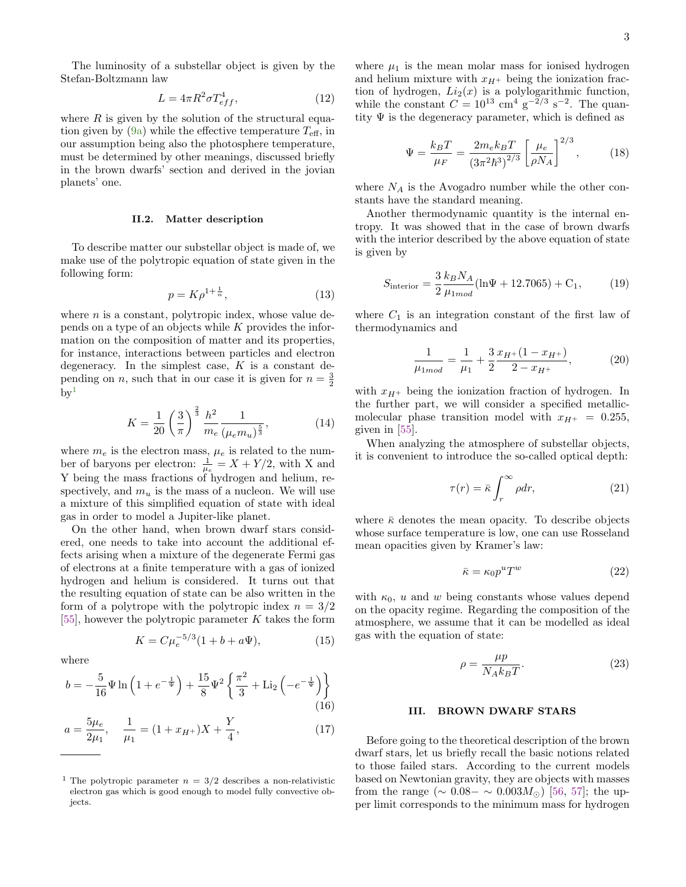The luminosity of a substellar object is given by the Stefan-Boltzmann law

<span id="page-2-9"></span>
$$
L = 4\pi R^2 \sigma T_{eff}^4,\tag{12}
$$

where  $R$  is given by the solution of the structural equa-tion given by [\(9a\)](#page-1-1) while the effective temperature  $T_{\text{eff}}$ , in our assumption being also the photosphere temperature, must be determined by other meanings, discussed briefly in the brown dwarfs' section and derived in the jovian planets' one.

### <span id="page-2-0"></span>II.2. Matter description

To describe matter our substellar object is made of, we make use of the polytropic equation of state given in the following form:

<span id="page-2-2"></span>
$$
p = K\rho^{1 + \frac{1}{n}},\tag{13}
$$

where  $n$  is a constant, polytropic index, whose value depends on a type of an objects while K provides the information on the composition of matter and its properties, for instance, interactions between particles and electron degeneracy. In the simplest case,  $K$  is a constant depending on *n*, such that in our case it is given for  $n = \frac{3}{2}$  $bv<sup>1</sup>$  $bv<sup>1</sup>$  $bv<sup>1</sup>$ 

$$
K = \frac{1}{20} \left(\frac{3}{\pi}\right)^{\frac{2}{3}} \frac{h^2}{m_e} \frac{1}{(\mu_e m_u)^{\frac{5}{3}}},\tag{14}
$$

where  $m_e$  is the electron mass,  $\mu_e$  is related to the number of baryons per electron:  $\frac{1}{\mu_e} = X + Y/2$ , with X and Y being the mass fractions of hydrogen and helium, respectively, and  $m_u$  is the mass of a nucleon. We will use a mixture of this simplified equation of state with ideal gas in order to model a Jupiter-like planet.

On the other hand, when brown dwarf stars considered, one needs to take into account the additional effects arising when a mixture of the degenerate Fermi gas of electrons at a finite temperature with a gas of ionized hydrogen and helium is considered. It turns out that the resulting equation of state can be also written in the form of a polytrope with the polytropic index  $n = 3/2$ [\[55\]](#page-9-30), however the polytropic parameter  $K$  takes the form

<span id="page-2-3"></span>
$$
K = C\mu_e^{-5/3}(1 + b + a\Psi),\tag{15}
$$

where

$$
b = -\frac{5}{16}\Psi \ln\left(1 + e^{-\frac{1}{\Psi}}\right) + \frac{15}{8}\Psi^2 \left\{\frac{\pi^2}{3} + \text{Li}_2\left(-e^{-\frac{1}{\Psi}}\right)\right\}
$$
(16)

$$
a = \frac{5\mu_e}{2\mu_1}, \quad \frac{1}{\mu_1} = (1 + x_{H^+})X + \frac{Y}{4}, \tag{17}
$$

where  $\mu_1$  is the mean molar mass for ionised hydrogen and helium mixture with  $x_{H+}$  being the ionization fraction of hydrogen,  $Li_2(x)$  is a polylogarithmic function, while the constant  $C = 10^{13}$  cm<sup>4</sup> g<sup>-2</sup>/<sup>3</sup> s<sup>-2</sup>. The quantity  $\Psi$  is the degeneracy parameter, which is defined as

<span id="page-2-6"></span>
$$
\Psi = \frac{k_B T}{\mu_F} = \frac{2m_e k_B T}{(3\pi^2 \hbar^3)^{2/3}} \left[\frac{\mu_e}{\rho N_A}\right]^{2/3},\tag{18}
$$

where  $N_A$  is the Avogadro number while the other constants have the standard meaning.

Another thermodynamic quantity is the internal entropy. It was showed that in the case of brown dwarfs with the interior described by the above equation of state is given by

<span id="page-2-8"></span>
$$
S_{\text{interior}} = \frac{3}{2} \frac{k_B N_A}{\mu_{1mod}} (\ln \Psi + 12.7065) + C_1, \tag{19}
$$

where  $C_1$  is an integration constant of the first law of thermodynamics and

$$
\frac{1}{\mu_{1mod}} = \frac{1}{\mu_1} + \frac{3}{2} \frac{x_{H^+}(1 - x_{H^+})}{2 - x_{H^+}},
$$
(20)

with  $x_{H+}$  being the ionization fraction of hydrogen. In the further part, we will consider a specified metallicmolecular phase transition model with  $x_{H^+} = 0.255$ , given in [\[55\]](#page-9-30).

When analyzing the atmosphere of substellar objects, it is convenient to introduce the so-called optical depth:

<span id="page-2-7"></span>
$$
\tau(r) = \bar{\kappa} \int_{r}^{\infty} \rho dr, \qquad (21)
$$

where  $\bar{\kappa}$  denotes the mean opacity. To describe objects whose surface temperature is low, one can use Rosseland mean opacities given by Kramer's law:

<span id="page-2-5"></span>
$$
\bar{\kappa} = \kappa_0 p^u T^w \tag{22}
$$

with  $\kappa_0$ , u and w being constants whose values depend on the opacity regime. Regarding the composition of the atmosphere, we assume that it can be modelled as ideal gas with the equation of state:

<span id="page-2-4"></span>
$$
\rho = \frac{\mu p}{N_A k_B T}.\tag{23}
$$

# III. BROWN DWARF STARS

Before going to the theoretical description of the brown dwarf stars, let us briefly recall the basic notions related to those failed stars. According to the current models based on Newtonian gravity, they are objects with masses from the range ( $\sim 0.08 - \sim 0.003 M_{\odot}$ ) [\[56,](#page-9-31) [57\]](#page-9-32); the upper limit corresponds to the minimum mass for hydrogen

<span id="page-2-1"></span><sup>&</sup>lt;sup>1</sup> The polytropic parameter  $n = 3/2$  describes a non-relativistic electron gas which is good enough to model fully convective objects.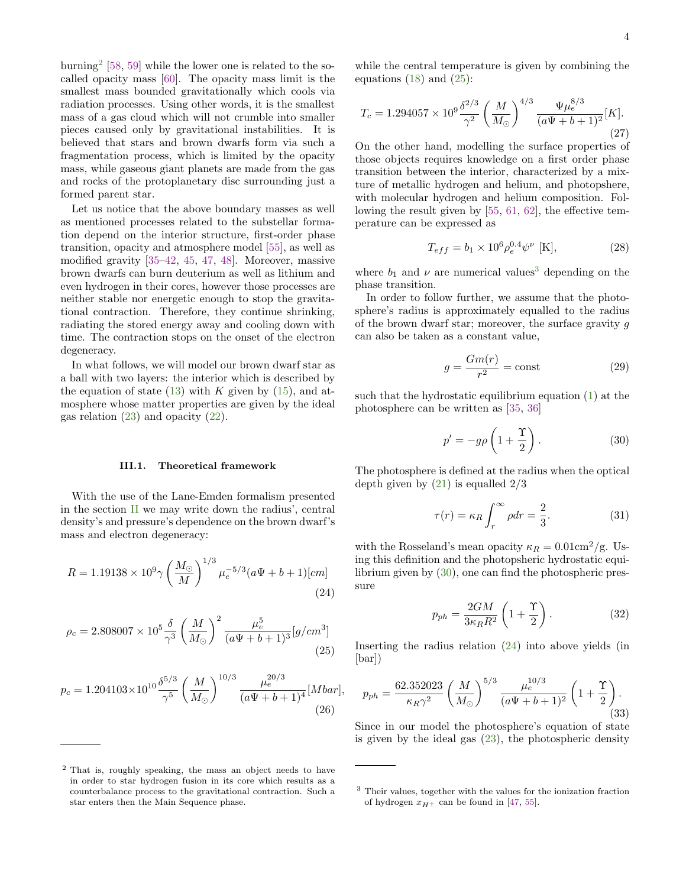burning<sup>[2](#page-3-0)</sup> [\[58,](#page-9-33) [59\]](#page-9-34) while the lower one is related to the socalled opacity mass [\[60\]](#page-9-35). The opacity mass limit is the smallest mass bounded gravitationally which cools via radiation processes. Using other words, it is the smallest mass of a gas cloud which will not crumble into smaller pieces caused only by gravitational instabilities. It is believed that stars and brown dwarfs form via such a fragmentation process, which is limited by the opacity mass, while gaseous giant planets are made from the gas and rocks of the protoplanetary disc surrounding just a formed parent star.

Let us notice that the above boundary masses as well as mentioned processes related to the substellar formation depend on the interior structure, first-order phase transition, opacity and atmosphere model [\[55\]](#page-9-30), as well as modified gravity [\[35](#page-9-18)[–42,](#page-9-22) [45,](#page-9-36) [47,](#page-9-37) [48\]](#page-9-23). Moreover, massive brown dwarfs can burn deuterium as well as lithium and even hydrogen in their cores, however those processes are neither stable nor energetic enough to stop the gravitational contraction. Therefore, they continue shrinking, radiating the stored energy away and cooling down with time. The contraction stops on the onset of the electron degeneracy.

In what follows, we will model our brown dwarf star as a ball with two layers: the interior which is described by the equation of state  $(13)$  with K given by  $(15)$ , and atmosphere whose matter properties are given by the ideal gas relation [\(23\)](#page-2-4) and opacity [\(22\)](#page-2-5).

### III.1. Theoretical framework

With the use of the Lane-Emden formalism presented in the section [II](#page-1-2) we may write down the radius', central density's and pressure's dependence on the brown dwarf's mass and electron degeneracy:

<span id="page-3-4"></span>
$$
R = 1.19138 \times 10^{9} \gamma \left(\frac{M_{\odot}}{M}\right)^{1/3} \mu_{e}^{-5/3} (a\Psi + b + 1)[cm] \tag{24}
$$

<span id="page-3-1"></span>
$$
\rho_c = 2.808007 \times 10^5 \frac{\delta}{\gamma^3} \left(\frac{M}{M_\odot}\right)^2 \frac{\mu_e^5}{(a\Psi + b + 1)^3} [g/cm^3]
$$
\n(25)

<span id="page-3-6"></span>
$$
p_c = 1.204103 \times 10^{10} \frac{\delta^{5/3}}{\gamma^5} \left(\frac{M}{M_{\odot}}\right)^{10/3} \frac{\mu_e^{20/3}}{(a\Psi + b + 1)^4} [Mbar],\tag{26}
$$

while the central temperature is given by combining the equations  $(18)$  and  $(25)$ :

$$
T_c = 1.294057 \times 10^9 \frac{\delta^{2/3}}{\gamma^2} \left(\frac{M}{M_\odot}\right)^{4/3} \frac{\Psi \mu_e^{8/3}}{(a\Psi + b + 1)^2} [K].
$$
\n(27)

On the other hand, modelling the surface properties of those objects requires knowledge on a first order phase transition between the interior, characterized by a mixture of metallic hydrogen and helium, and photopshere, with molecular hydrogen and helium composition. Following the result given by [\[55,](#page-9-30) [61,](#page-9-38) [62\]](#page-9-39), the effective temperature can be expressed as

<span id="page-3-5"></span>
$$
T_{eff} = b_1 \times 10^6 \rho_e^{0.4} \psi^{\nu} \text{ [K]},\tag{28}
$$

where  $b_1$  and  $\nu$  are numerical values<sup>[3](#page-3-2)</sup> depending on the phase transition.

In order to follow further, we assume that the photosphere's radius is approximately equalled to the radius of the brown dwarf star; moreover, the surface gravity  $g$ can also be taken as a constant value,

$$
g = \frac{Gm(r)}{r^2} = \text{const}
$$
 (29)

such that the hydrostatic equilibrium equation [\(1\)](#page-1-3) at the photosphere can be written as [\[35,](#page-9-18) [36\]](#page-9-29)

<span id="page-3-3"></span>
$$
p' = -g\rho \left(1 + \frac{\Upsilon}{2}\right). \tag{30}
$$

The photosphere is defined at the radius when the optical depth given by  $(21)$  is equalled  $2/3$ 

$$
\tau(r) = \kappa_R \int_r^{\infty} \rho dr = \frac{2}{3}.
$$
 (31)

with the Rosseland's mean opacity  $\kappa_R = 0.01 \text{cm}^2/\text{g}$ . Using this definition and the photopsheric hydrostatic equilibrium given by [\(30\)](#page-3-3), one can find the photospheric pressure

$$
p_{ph} = \frac{2GM}{3\kappa_R R^2} \left( 1 + \frac{\Upsilon}{2} \right). \tag{32}
$$

Inserting the radius relation [\(24\)](#page-3-4) into above yields (in [bar])

<span id="page-3-7"></span>
$$
p_{ph} = \frac{62.352023}{\kappa_R \gamma^2} \left(\frac{M}{M_{\odot}}\right)^{5/3} \frac{\mu_e^{10/3}}{(a\Psi + b + 1)^2} \left(1 + \frac{\Upsilon}{2}\right). \tag{33}
$$

Since in our model the photosphere's equation of state is given by the ideal gas  $(23)$ , the photospheric density

<span id="page-3-0"></span><sup>2</sup> That is, roughly speaking, the mass an object needs to have in order to star hydrogen fusion in its core which results as a counterbalance process to the gravitational contraction. Such a star enters then the Main Sequence phase.

<span id="page-3-2"></span><sup>3</sup> Their values, together with the values for the ionization fraction of hydrogen  $x_{H+}$  can be found in [\[47,](#page-9-37) [55\]](#page-9-30).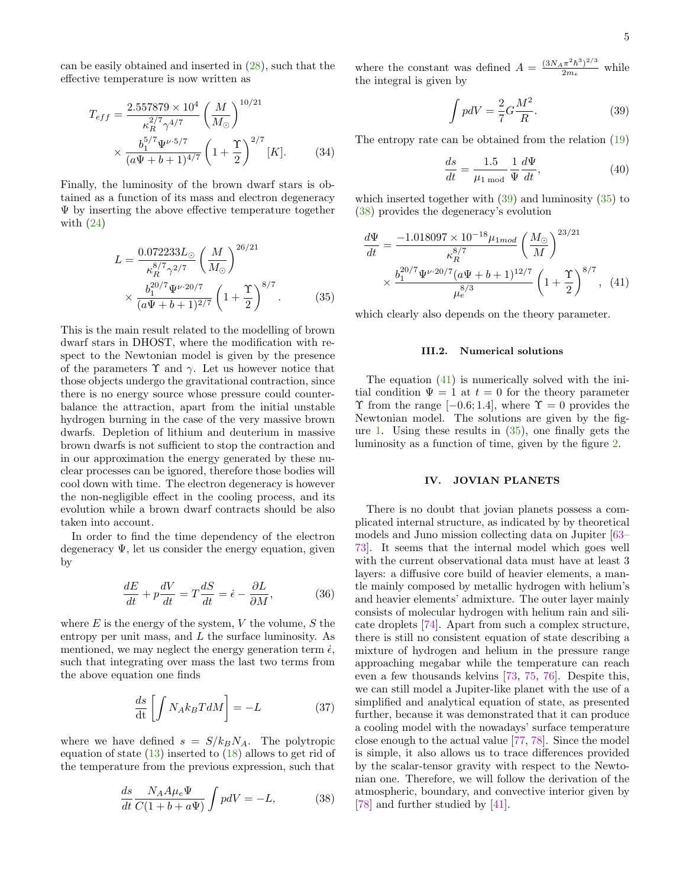can be easily obtained and inserted in [\(28\)](#page-3-5), such that the effective temperature is now written as

$$
T_{eff} = \frac{2.557879 \times 10^4}{\kappa_R^{2/7} \gamma^{4/7}} \left(\frac{M}{M_\odot}\right)^{10/21} \times \frac{b_1^{5/7} \Psi^{\nu \cdot 5/7}}{(a\Psi + b + 1)^{4/7}} \left(1 + \frac{\Upsilon}{2}\right)^{2/7} [K]. \tag{34}
$$

Finally, the luminosity of the brown dwarf stars is obtained as a function of its mass and electron degeneracy Ψ by inserting the above effective temperature together with  $(24)$ 

$$
L = \frac{0.072233L_{\odot}}{\kappa_R^{8/7} \gamma^{2/7}} \left(\frac{M}{M_{\odot}}\right)^{26/21} \times \frac{b_1^{20/7} \Psi^{\nu \cdot 20/7}}{(a\Psi + b + 1)^{2/7}} \left(1 + \frac{\Upsilon}{2}\right)^{8/7} . \tag{35}
$$

This is the main result related to the modelling of brown dwarf stars in DHOST, where the modification with respect to the Newtonian model is given by the presence of the parameters  $\Upsilon$  and  $\gamma$ . Let us however notice that those objects undergo the gravitational contraction, since there is no energy source whose pressure could counterbalance the attraction, apart from the initial unstable hydrogen burning in the case of the very massive brown dwarfs. Depletion of lithium and deuterium in massive brown dwarfs is not sufficient to stop the contraction and in our approximation the energy generated by these nuclear processes can be ignored, therefore those bodies will cool down with time. The electron degeneracy is however the non-negligible effect in the cooling process, and its evolution while a brown dwarf contracts should be also taken into account.

In order to find the time dependency of the electron degeneracy  $\Psi$ , let us consider the energy equation, given by

$$
\frac{dE}{dt} + p\frac{dV}{dt} = T\frac{dS}{dt} = \dot{\epsilon} - \frac{\partial L}{\partial M},\tag{36}
$$

where  $E$  is the energy of the system,  $V$  the volume,  $S$  the entropy per unit mass, and  $L$  the surface luminosity. As mentioned, we may neglect the energy generation term  $\dot{\epsilon}$ , such that integrating over mass the last two terms from the above equation one finds

$$
\frac{ds}{dt} \left[ \int N_A k_B T dM \right] = -L \tag{37}
$$

where we have defined  $s = S/k_B N_A$ . The polytropic equation of state [\(13\)](#page-2-2) inserted to [\(18\)](#page-2-6) allows to get rid of the temperature from the previous expression, such that

<span id="page-4-2"></span>
$$
\frac{ds}{dt} \frac{N_A A \mu_e \Psi}{C(1 + b + a\Psi)} \int p dV = -L,\tag{38}
$$

where the constant was defined  $A = \frac{(3N_A \pi^2 \hbar^3)^{2/3}}{2m}$  $2m_e$ while the integral is given by

<span id="page-4-0"></span>
$$
\int pdV = \frac{2}{7}G\frac{M^2}{R}.
$$
\n(39)

<span id="page-4-4"></span>The entropy rate can be obtained from the relation [\(19\)](#page-2-8)

<span id="page-4-3"></span>
$$
\frac{ds}{dt} = \frac{1.5}{\mu_{1 \text{ mod}}} \frac{1}{\Psi} \frac{d\Psi}{dt},\tag{40}
$$

which inserted together with [\(39\)](#page-4-0) and luminosity [\(35\)](#page-4-1) to [\(38\)](#page-4-2) provides the degeneracy's evolution

$$
\frac{d\Psi}{dt} = \frac{-1.018097 \times 10^{-18} \mu_{1mod}}{\kappa_R^{8/7}} \left(\frac{M_{\odot}}{M}\right)^{23/21} \times \frac{b_1^{20/7} \Psi^{\nu \cdot 20/7} (a\Psi + b + 1)^{12/7}}{\kappa_e^{8/3}} \left(1 + \frac{\Upsilon}{2}\right)^{8/7}, \quad (41)
$$

<span id="page-4-1"></span>which clearly also depends on the theory parameter.

#### III.2. Numerical solutions

The equation [\(41\)](#page-4-3) is numerically solved with the initial condition  $\Psi = 1$  at  $t = 0$  for the theory parameter  $\Upsilon$  from the range  $[-0.6; 1.4]$ , where  $\Upsilon = 0$  provides the Newtonian model. The solutions are given by the figure [1.](#page-5-0) Using these results in [\(35\)](#page-4-1), one finally gets the luminosity as a function of time, given by the figure [2.](#page-5-1)

#### IV. JOVIAN PLANETS

There is no doubt that jovian planets possess a complicated internal structure, as indicated by by theoretical models and Juno mission collecting data on Jupiter [\[63–](#page-9-40) [73\]](#page-10-0). It seems that the internal model which goes well with the current observational data must have at least 3 layers: a diffusive core build of heavier elements, a mantle mainly composed by metallic hydrogen with helium's and heavier elements' admixture. The outer layer mainly consists of molecular hydrogen with helium rain and silicate droplets [\[74\]](#page-10-1). Apart from such a complex structure, there is still no consistent equation of state describing a mixture of hydrogen and helium in the pressure range approaching megabar while the temperature can reach even a few thousands kelvins [\[73,](#page-10-0) [75,](#page-10-2) [76\]](#page-10-3). Despite this, we can still model a Jupiter-like planet with the use of a simplified and analytical equation of state, as presented further, because it was demonstrated that it can produce a cooling model with the nowadays' surface temperature close enough to the actual value [\[77,](#page-10-4) [78\]](#page-10-5). Since the model is simple, it also allows us to trace differences provided by the scalar-tensor gravity with respect to the Newtonian one. Therefore, we will follow the derivation of the atmospheric, boundary, and convective interior given by [\[78\]](#page-10-5) and further studied by [\[41\]](#page-9-21).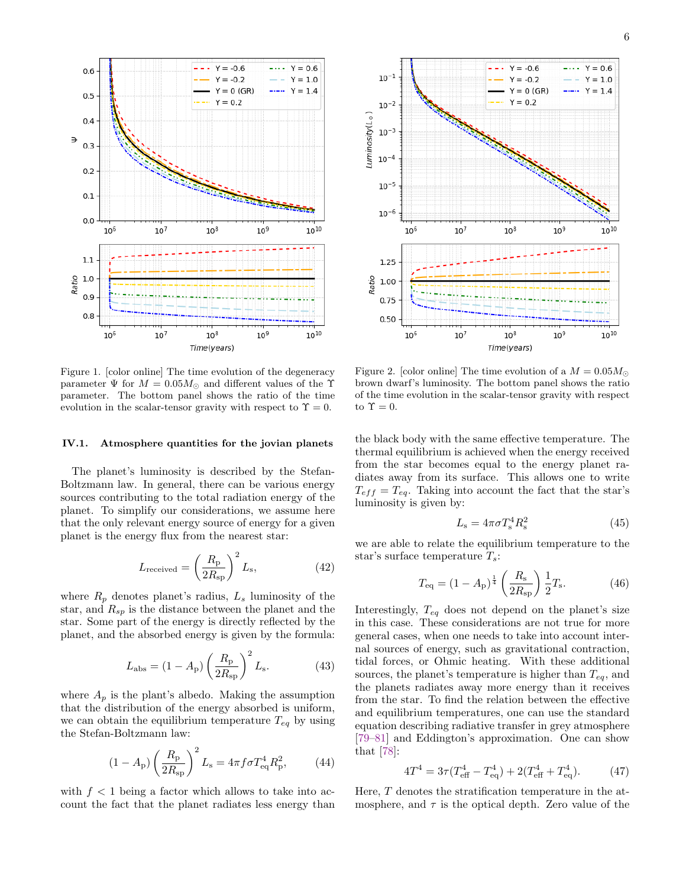

<span id="page-5-0"></span>Figure 1. [color online] The time evolution of the degeneracy parameter  $\Psi$  for  $M = 0.05 M_{\odot}$  and different values of the Y parameter. The bottom panel shows the ratio of the time evolution in the scalar-tensor gravity with respect to  $\Upsilon = 0$ .

## IV.1. Atmosphere quantities for the jovian planets

The planet's luminosity is described by the Stefan-Boltzmann law. In general, there can be various energy sources contributing to the total radiation energy of the planet. To simplify our considerations, we assume here that the only relevant energy source of energy for a given planet is the energy flux from the nearest star:

$$
L_{\text{received}} = \left(\frac{R_{\text{p}}}{2R_{\text{sp}}}\right)^2 L_{\text{s}},\tag{42}
$$

where  $R_p$  denotes planet's radius,  $L_s$  luminosity of the star, and  $R_{sp}$  is the distance between the planet and the star. Some part of the energy is directly reflected by the planet, and the absorbed energy is given by the formula:

<span id="page-5-3"></span>
$$
L_{\rm abs} = (1 - A_{\rm p}) \left(\frac{R_{\rm p}}{2R_{\rm sp}}\right)^2 L_{\rm s}.
$$
 (43)

where  $A_p$  is the plant's albedo. Making the assumption that the distribution of the energy absorbed is uniform, we can obtain the equilibrium temperature  $T_{eq}$  by using the Stefan-Boltzmann law:

$$
(1 - A_{\rm p}) \left(\frac{R_{\rm p}}{2R_{\rm sp}}\right)^2 L_{\rm s} = 4\pi f \sigma T_{\rm eq}^4 R_{\rm p}^2,\tag{44}
$$

with  $f < 1$  being a factor which allows to take into account the fact that the planet radiates less energy than



<span id="page-5-1"></span>Figure 2. [color online] The time evolution of a  $M = 0.05 M_{\odot}$ brown dwarf's luminosity. The bottom panel shows the ratio of the time evolution in the scalar-tensor gravity with respect to  $\Upsilon = 0$ .

the black body with the same effective temperature. The thermal equilibrium is achieved when the energy received from the star becomes equal to the energy planet radiates away from its surface. This allows one to write  $T_{eff} = T_{eq}$ . Taking into account the fact that the star's luminosity is given by:

$$
L_{\rm s} = 4\pi\sigma T_{\rm s}^4 R_{\rm s}^2 \tag{45}
$$

we are able to relate the equilibrium temperature to the star's surface temperature  $T_s$ :

<span id="page-5-4"></span>
$$
T_{\text{eq}} = (1 - A_{\text{p}})^{\frac{1}{4}} \left(\frac{R_{\text{s}}}{2R_{\text{sp}}}\right) \frac{1}{2} T_{\text{s}}.
$$
 (46)

Interestingly,  $T_{eq}$  does not depend on the planet's size in this case. These considerations are not true for more general cases, when one needs to take into account internal sources of energy, such as gravitational contraction, tidal forces, or Ohmic heating. With these additional sources, the planet's temperature is higher than  $T_{eq}$ , and the planets radiates away more energy than it receives from the star. To find the relation between the effective and equilibrium temperatures, one can use the standard equation describing radiative transfer in grey atmosphere [\[79–](#page-10-6)[81\]](#page-10-7) and Eddington's approximation. One can show that [\[78\]](#page-10-5):

<span id="page-5-2"></span>
$$
4T^4 = 3\tau (T_{\text{eff}}^4 - T_{\text{eq}}^4) + 2(T_{\text{eff}}^4 + T_{\text{eq}}^4). \tag{47}
$$

Here, T denotes the stratification temperature in the atmosphere, and  $\tau$  is the optical depth. Zero value of the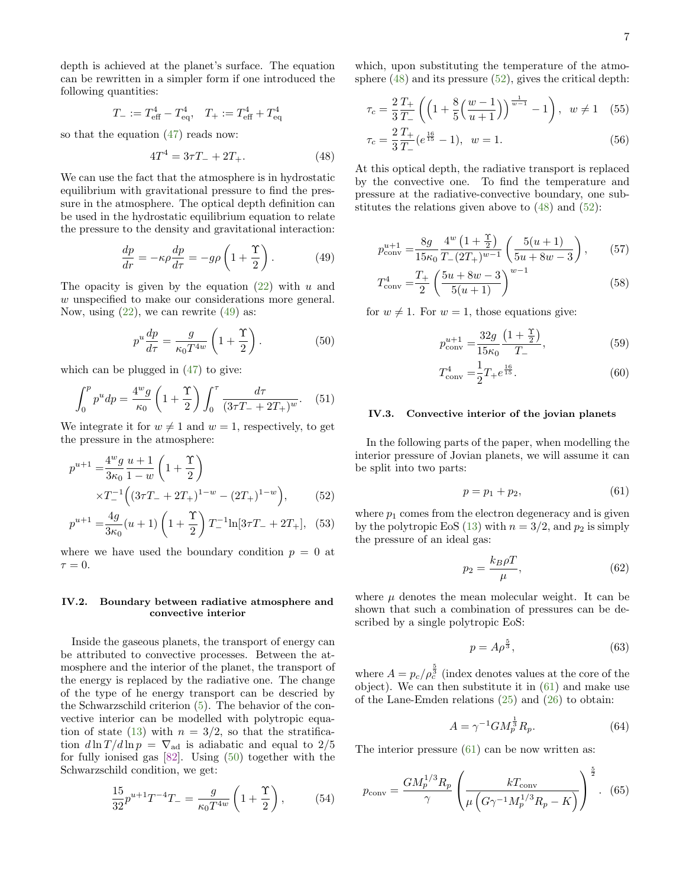depth is achieved at the planet's surface. The equation can be rewritten in a simpler form if one introduced the following quantities:

$$
T_{-} := T_{\text{eff}}^{4} - T_{\text{eq}}^{4}, \quad T_{+} := T_{\text{eff}}^{4} + T_{\text{eq}}^{4}
$$

so that the equation  $(47)$  reads now:

<span id="page-6-2"></span>
$$
4T^4 = 3\tau T_- + 2T_+.\tag{48}
$$

We can use the fact that the atmosphere is in hydrostatic equilibrium with gravitational pressure to find the pressure in the atmosphere. The optical depth definition can be used in the hydrostatic equilibrium equation to relate the pressure to the density and gravitational interaction:

<span id="page-6-0"></span>
$$
\frac{dp}{dr} = -\kappa \rho \frac{dp}{d\tau} = -g\rho \left( 1 + \frac{\Upsilon}{2} \right). \tag{49}
$$

The opacity is given by the equation  $(22)$  with u and w unspecified to make our considerations more general. Now, using  $(22)$ , we can rewrite  $(49)$  as:

<span id="page-6-1"></span>
$$
p^u \frac{dp}{d\tau} = \frac{g}{\kappa_0 T^{4w}} \left( 1 + \frac{\Upsilon}{2} \right). \tag{50}
$$

which can be plugged in [\(47\)](#page-5-2) to give:

$$
\int_0^p p^u dp = \frac{4^w g}{\kappa_0} \left( 1 + \frac{\Upsilon}{2} \right) \int_0^{\tau} \frac{d\tau}{(3\tau T_- + 2T_+)^w} . \tag{51}
$$

We integrate it for  $w \neq 1$  and  $w = 1$ , respectively, to get the pressure in the atmosphere:

$$
p^{u+1} = \frac{4^w g}{3\kappa_0} \frac{u+1}{1-w} \left(1 + \frac{\Upsilon}{2}\right)
$$
  
× $T^{-1}$  $\left((3\tau T_- + 2T_+)^{1-w} - (2T_+)^{1-w}\right)$ , (52)

$$
p^{u+1} = \frac{4g}{3\kappa_0}(u+1)\left(1+\frac{\Upsilon}{2}\right)T_{-}^{-1}\ln[3\tau T_{-} + 2T_{+}], \quad (53)
$$

where we have used the boundary condition  $p = 0$  at  $\tau = 0$ .

### IV.2. Boundary between radiative atmosphere and convective interior

Inside the gaseous planets, the transport of energy can be attributed to convective processes. Between the atmosphere and the interior of the planet, the transport of the energy is replaced by the radiative one. The change of the type of he energy transport can be descried by the Schwarzschild criterion [\(5\)](#page-1-4). The behavior of the convective interior can be modelled with polytropic equa-tion of state [\(13\)](#page-2-2) with  $n = 3/2$ , so that the stratification  $d \ln T / d \ln p = \nabla_{\text{ad}}$  is adiabatic and equal to 2/5 for fully ionised gas [\[82\]](#page-10-8). Using [\(50\)](#page-6-1) together with the Schwarzschild condition, we get:

$$
\frac{15}{32}p^{u+1}T^{-4}T_{-} = \frac{g}{\kappa_0 T^{4w}} \left(1 + \frac{\Upsilon}{2}\right),\tag{54}
$$

which, upon substituting the temperature of the atmosphere [\(48\)](#page-6-2) and its pressure [\(52\)](#page-6-3), gives the critical depth:

$$
\tau_c = \frac{2}{3} \frac{T_+}{T_-} \left( \left( 1 + \frac{8}{5} \left( \frac{w-1}{u+1} \right) \right)^{\frac{1}{w-1}} - 1 \right), \ \ w \neq 1 \quad (55)
$$

$$
\tau_c = \frac{2}{3} \frac{T_+}{T_-} (e^{\frac{16}{15}} - 1), \ \ w = 1.
$$

At this optical depth, the radiative transport is replaced by the convective one. To find the temperature and pressure at the radiative-convective boundary, one substitutes the relations given above to  $(48)$  and  $(52)$ :

$$
p_{\text{conv}}^{u+1} = \frac{8g}{15\kappa_0} \frac{4^w \left(1 + \frac{\gamma}{2}\right)}{T_-(2T_+)^{w-1}} \left(\frac{5(u+1)}{5u+8w-3}\right),\tag{57}
$$

$$
T_{\text{conv}}^4 = \frac{T_+}{2} \left( \frac{5u + 8w - 3}{5(u+1)} \right)^{w-1}
$$
 (58)

for  $w \neq 1$ . For  $w = 1$ , those equations give:

<span id="page-6-5"></span>
$$
p_{\text{conv}}^{u+1} = \frac{32g}{15\kappa_0} \frac{\left(1 + \frac{\Upsilon}{2}\right)}{T_-},\tag{59}
$$

$$
T_{\text{conv}}^4 = \frac{1}{2} T_+ e^{\frac{16}{15}}.
$$
 (60)

### IV.3. Convective interior of the jovian planets

In the following parts of the paper, when modelling the interior pressure of Jovian planets, we will assume it can be split into two parts:

<span id="page-6-4"></span>
$$
p = p_1 + p_2,\tag{61}
$$

<span id="page-6-3"></span>where  $p_1$  comes from the electron degeneracy and is given by the polytropic EoS [\(13\)](#page-2-2) with  $n = 3/2$ , and  $p_2$  is simply the pressure of an ideal gas:

$$
p_2 = \frac{k_B \rho T}{\mu},\tag{62}
$$

where  $\mu$  denotes the mean molecular weight. It can be shown that such a combination of pressures can be described by a single polytropic EoS:

$$
p = A\rho^{\frac{5}{3}},\tag{63}
$$

where  $A = p_c / \rho_c^{\frac{5}{3}}$  (index denotes values at the core of the object). We can then substitute it in [\(61\)](#page-6-4) and make use of the Lane-Emden relations [\(25\)](#page-3-1) and [\(26\)](#page-3-6) to obtain:

$$
A = \gamma^{-1} G M_p^{\frac{1}{3}} R_p. \tag{64}
$$

The interior pressure [\(61\)](#page-6-4) can be now written as:

<span id="page-6-6"></span>
$$
p_{\text{conv}} = \frac{GM_p^{1/3}R_p}{\gamma} \left(\frac{kT_{\text{conv}}}{\mu \left(G\gamma^{-1}M_p^{1/3}R_p - K\right)}\right)^{\frac{5}{2}}.
$$
 (65)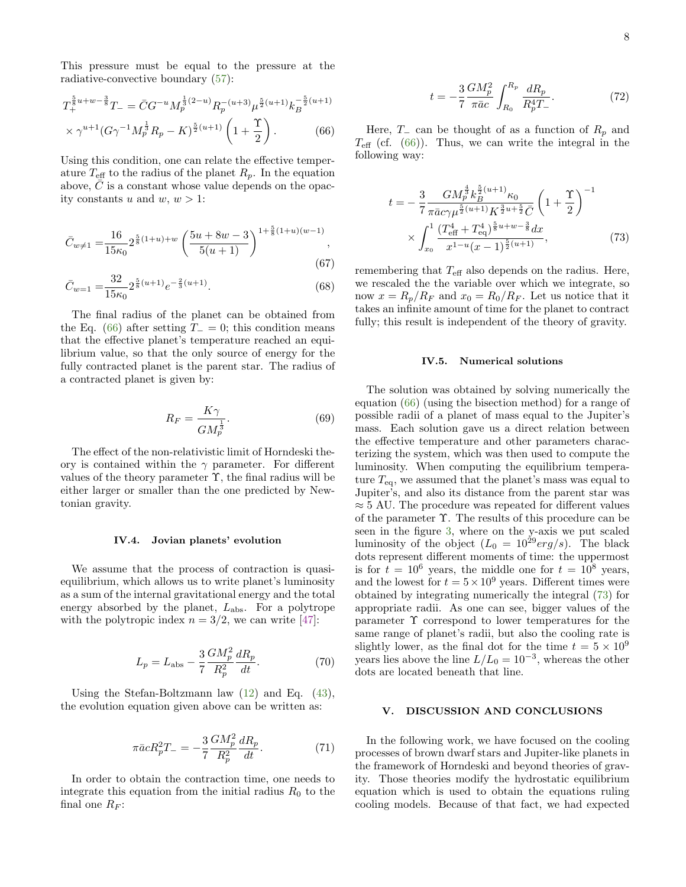This pressure must be equal to the pressure at the radiative-convective boundary [\(57\)](#page-6-5):

$$
T_{+}^{\frac{5}{8}u+w-\frac{3}{8}}T_{-} = \bar{C}G^{-u}M_{p}^{\frac{1}{3}(2-u)}R_{p}^{-(u+3)}\mu_{p}^{\frac{5}{2}(u+1)}k_{B}^{-\frac{5}{2}(u+1)}
$$

$$
\times \gamma^{u+1}(G\gamma^{-1}M_{p}^{\frac{1}{3}}R_{p} - K)^{\frac{5}{2}(u+1)}\left(1+\frac{\Upsilon}{2}\right). \tag{66}
$$

Using this condition, one can relate the effective temperature  $T_{\text{eff}}$  to the radius of the planet  $R_p$ . In the equation above,  $\overline{C}$  is a constant whose value depends on the opacity constants u and w,  $w > 1$ :

$$
\bar{C}_{w \neq 1} = \frac{16}{15\kappa_0} 2^{\frac{5}{8}(1+u)+w} \left( \frac{5u+8w-3}{5(u+1)} \right)^{1+\frac{5}{8}(1+u)(w-1)},
$$
\n(67)

$$
\bar{C}_{w=1} = \frac{32}{15\kappa_0} 2^{\frac{5}{8}(u+1)} e^{-\frac{2}{3}(u+1)}.
$$
\n(68)

The final radius of the planet can be obtained from the Eq. [\(66\)](#page-7-0) after setting  $T_0 = 0$ ; this condition means that the effective planet's temperature reached an equilibrium value, so that the only source of energy for the fully contracted planet is the parent star. The radius of a contracted planet is given by:

$$
R_F = \frac{K\gamma}{GM_p^{\frac{1}{3}}}.\tag{69}
$$

The effect of the non-relativistic limit of Horndeski theory is contained within the  $\gamma$  parameter. For different values of the theory parameter  $\Upsilon$ , the final radius will be either larger or smaller than the one predicted by Newtonian gravity.

#### IV.4. Jovian planets' evolution

We assume that the process of contraction is quasiequilibrium, which allows us to write planet's luminosity as a sum of the internal gravitational energy and the total energy absorbed by the planet,  $L_{\text{abs}}$ . For a polytrope with the polytropic index  $n = 3/2$ , we can write [\[47\]](#page-9-37):

$$
L_p = L_{\rm abs} - \frac{3}{7} \frac{GM_p^2}{R_p^2} \frac{dR_p}{dt}.
$$
 (70)

Using the Stefan-Boltzmann law [\(12\)](#page-2-9) and Eq. [\(43\)](#page-5-3), the evolution equation given above can be written as:

$$
\pi \bar{a} c R_p^2 T_- = -\frac{3}{7} \frac{GM_p^2}{R_p^2} \frac{dR_p}{dt}.
$$
 (71)

In order to obtain the contraction time, one needs to integrate this equation from the initial radius  $R_0$  to the final one  $R_F$ :

$$
t = -\frac{3}{7} \frac{GM_p^2}{\pi \bar{a}c} \int_{R_0}^{R_p} \frac{dR_p}{R_p^4 T_{-}}.
$$
 (72)

<span id="page-7-0"></span>Here,  $T_-\,$  can be thought of as a function of  $R_p$  and  $T_{\text{eff}}$  (cf. [\(66\)](#page-7-0)). Thus, we can write the integral in the following way:

<span id="page-7-1"></span>
$$
t = -\frac{3}{7} \frac{GM_p^{\frac{4}{3}} k_B^{\frac{5}{2}(u+1)} \kappa_0}{\pi \bar{a}c \gamma \mu^{\frac{5}{2}(u+1)} K^{\frac{3}{2}u + \frac{5}{2}} \bar{C}} \left(1 + \frac{\Upsilon}{2}\right)^{-1} \times \int_{x_0}^1 \frac{(T_{\text{eff}}^4 + T_{\text{eq}}^4)^{\frac{5}{8}u + w - \frac{3}{8}} dx}{x^{1 - u}(x - 1)^{\frac{5}{2}(u+1)}},
$$
(73)

remembering that  $T_{\text{eff}}$  also depends on the radius. Here, we rescaled the the variable over which we integrate, so now  $x = R_p/R_F$  and  $x_0 = R_0/R_F$ . Let us notice that it takes an infinite amount of time for the planet to contract fully; this result is independent of the theory of gravity.

#### IV.5. Numerical solutions

The solution was obtained by solving numerically the equation [\(66\)](#page-7-0) (using the bisection method) for a range of possible radii of a planet of mass equal to the Jupiter's mass. Each solution gave us a direct relation between the effective temperature and other parameters characterizing the system, which was then used to compute the luminosity. When computing the equilibrium temperature  $T_{eq}$ , we assumed that the planet's mass was equal to Jupiter's, and also its distance from the parent star was  $\approx$  5 AU. The procedure was repeated for different values of the parameter Υ. The results of this procedure can be seen in the figure [3,](#page-8-3) where on the y-axis we put scaled luminosity of the object  $(L_0 = 10^{29} erg/s)$ . The black dots represent different moments of time: the uppermost is for  $t = 10^6$  years, the middle one for  $t = 10^8$  years, and the lowest for  $t = 5 \times 10^9$  years. Different times were obtained by integrating numerically the integral [\(73\)](#page-7-1) for appropriate radii. As one can see, bigger values of the parameter  $\Upsilon$  correspond to lower temperatures for the same range of planet's radii, but also the cooling rate is slightly lower, as the final dot for the time  $t = 5 \times 10^9$ years lies above the line  $L/L_0 = 10^{-3}$ , whereas the other dots are located beneath that line.

# V. DISCUSSION AND CONCLUSIONS

In the following work, we have focused on the cooling processes of brown dwarf stars and Jupiter-like planets in the framework of Horndeski and beyond theories of gravity. Those theories modify the hydrostatic equilibrium equation which is used to obtain the equations ruling cooling models. Because of that fact, we had expected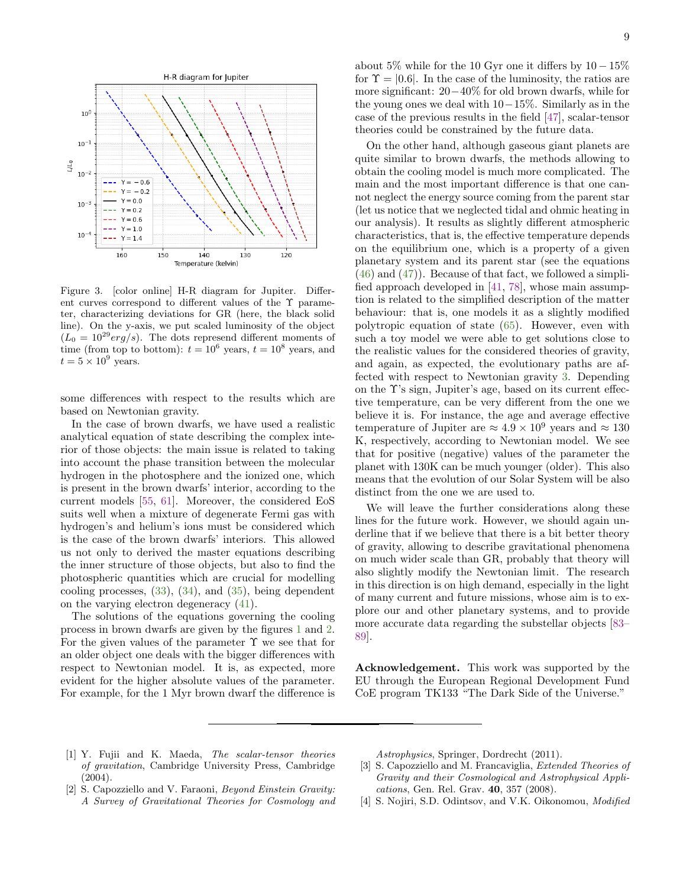

<span id="page-8-3"></span>Figure 3. [color online] H-R diagram for Jupiter. Different curves correspond to different values of the  $\Upsilon$  parameter, characterizing deviations for GR (here, the black solid line). On the y-axis, we put scaled luminosity of the object  $(L_0 = 10^{29} erg/s)$ . The dots represend different moments of time (from top to bottom):  $t = 10^6$  years,  $t = 10^8$  years, and  $t = 5 \times 10^9$  years.

some differences with respect to the results which are based on Newtonian gravity.

In the case of brown dwarfs, we have used a realistic analytical equation of state describing the complex interior of those objects: the main issue is related to taking into account the phase transition between the molecular hydrogen in the photosphere and the ionized one, which is present in the brown dwarfs' interior, according to the current models [\[55,](#page-9-30) [61\]](#page-9-38). Moreover, the considered EoS suits well when a mixture of degenerate Fermi gas with hydrogen's and helium's ions must be considered which is the case of the brown dwarfs' interiors. This allowed us not only to derived the master equations describing the inner structure of those objects, but also to find the photospheric quantities which are crucial for modelling cooling processes, [\(33\)](#page-3-7), [\(34\)](#page-4-4), and [\(35\)](#page-4-1), being dependent on the varying electron degeneracy [\(41\)](#page-4-3).

The solutions of the equations governing the cooling process in brown dwarfs are given by the figures [1](#page-5-0) and [2.](#page-5-1) For the given values of the parameter  $\Upsilon$  we see that for an older object one deals with the bigger differences with respect to Newtonian model. It is, as expected, more evident for the higher absolute values of the parameter. For example, for the 1 Myr brown dwarf the difference is

about 5% while for the 10 Gyr one it differs by  $10-15\%$ for  $\Upsilon = [0.6]$ . In the case of the luminosity, the ratios are more significant: 20−40% for old brown dwarfs, while for the young ones we deal with 10−15%. Similarly as in the case of the previous results in the field [\[47\]](#page-9-37), scalar-tensor theories could be constrained by the future data.

On the other hand, although gaseous giant planets are quite similar to brown dwarfs, the methods allowing to obtain the cooling model is much more complicated. The main and the most important difference is that one cannot neglect the energy source coming from the parent star (let us notice that we neglected tidal and ohmic heating in our analysis). It results as slightly different atmospheric characteristics, that is, the effective temperature depends on the equilibrium one, which is a property of a given planetary system and its parent star (see the equations  $(46)$  and  $(47)$ . Because of that fact, we followed a simplified approach developed in [\[41,](#page-9-21) [78\]](#page-10-5), whose main assumption is related to the simplified description of the matter behaviour: that is, one models it as a slightly modified polytropic equation of state [\(65\)](#page-6-6). However, even with such a toy model we were able to get solutions close to the realistic values for the considered theories of gravity, and again, as expected, the evolutionary paths are affected with respect to Newtonian gravity [3.](#page-8-3) Depending on the Υ's sign, Jupiter's age, based on its current effective temperature, can be very different from the one we believe it is. For instance, the age and average effective temperature of Jupiter are  $\approx 4.9 \times 10^9$  years and  $\approx 130$ K, respectively, according to Newtonian model. We see that for positive (negative) values of the parameter the planet with 130K can be much younger (older). This also means that the evolution of our Solar System will be also distinct from the one we are used to.

We will leave the further considerations along these lines for the future work. However, we should again underline that if we believe that there is a bit better theory of gravity, allowing to describe gravitational phenomena on much wider scale than GR, probably that theory will also slightly modify the Newtonian limit. The research in this direction is on high demand, especially in the light of many current and future missions, whose aim is to explore our and other planetary systems, and to provide more accurate data regarding the substellar objects [\[83–](#page-10-9) [89\]](#page-10-10).

Acknowledgement. This work was supported by the EU through the European Regional Development Fund CoE program TK133 "The Dark Side of the Universe."

- <span id="page-8-0"></span>[1] Y. Fujii and K. Maeda, The scalar-tensor theories of gravitation, Cambridge University Press, Cambridge (2004).
- [2] S. Capozziello and V. Faraoni, Beyond Einstein Gravity: A Survey of Gravitational Theories for Cosmology and

Astrophysics, Springer, Dordrecht (2011).

- <span id="page-8-1"></span>[3] S. Capozziello and M. Francaviglia, *Extended Theories of* Gravity and their Cosmological and Astrophysical Applications, Gen. Rel. Grav. 40, 357 (2008).
- <span id="page-8-2"></span>[4] S. Nojiri, S.D. Odintsov, and V.K. Oikonomou, Modified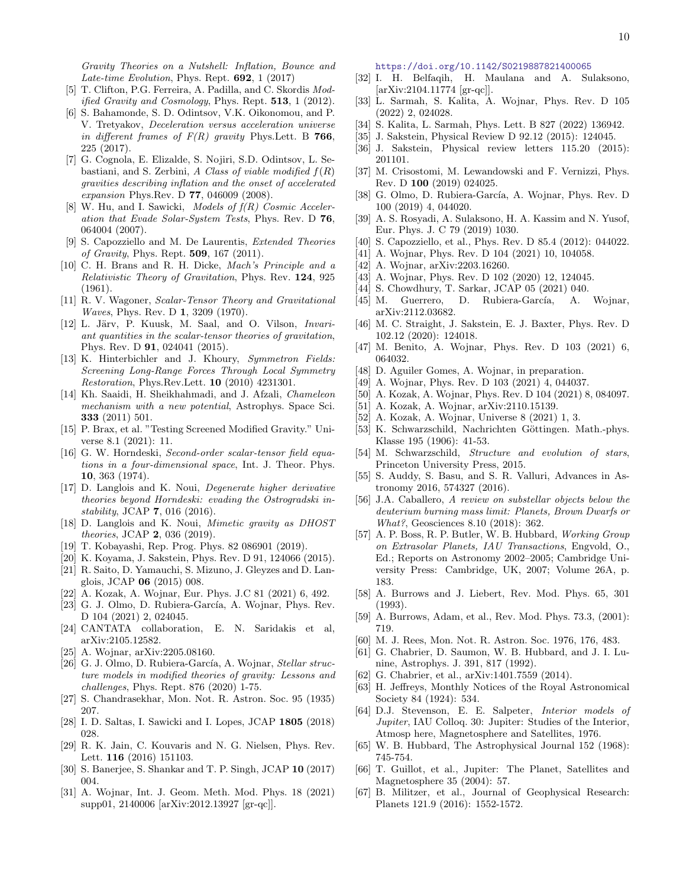Gravity Theories on a Nutshell: Inflation, Bounce and Late-time Evolution, Phys. Rept.  $692$ , 1 (2017)

- [5] T. Clifton, P.G. Ferreira, A. Padilla, and C. Skordis Modified Gravity and Cosmology, Phys. Rept.  $513$ , 1 (2012).
- [6] S. Bahamonde, S. D. Odintsov, V.K. Oikonomou, and P. V. Tretyakov, Deceleration versus acceleration universe in different frames of  $F(R)$  gravity Phys. Lett. B 766, 225 (2017).
- [7] G. Cognola, E. Elizalde, S. Nojiri, S.D. Odintsov, L. Sebastiani, and S. Zerbini, A Class of viable modified  $f(R)$ gravities describing inflation and the onset of accelerated expansion Phys.Rev. D 77, 046009 (2008).
- <span id="page-9-0"></span>[8] W. Hu, and I. Sawicki, Models of  $f(R)$  Cosmic Acceleration that Evade Solar-System Tests, Phys. Rev. D 76, 064004 (2007).
- <span id="page-9-1"></span>[9] S. Capozziello and M. De Laurentis, Extended Theories of Gravity, Phys. Rept. 509, 167 (2011).
- <span id="page-9-2"></span>[10] C. H. Brans and R. H. Dicke, Mach's Principle and a Relativistic Theory of Gravitation, Phys. Rev. 124, 925 (1961).
- <span id="page-9-3"></span>[11] R. V. Wagoner, Scalar-Tensor Theory and Gravitational Waves, Phys. Rev. D 1, 3209 (1970).
- <span id="page-9-4"></span>[12] L. Järv, P. Kuusk, M. Saal, and O. Vilson, *Invari*ant quantities in the scalar-tensor theories of gravitation, Phys. Rev. D 91, 024041 (2015).
- <span id="page-9-5"></span>[13] K. Hinterbichler and J. Khoury, Symmetron Fields: Screening Long-Range Forces Through Local Symmetry Restoration, Phys.Rev.Lett. 10 (2010) 4231301.
- [14] Kh. Saaidi, H. Sheikhahmadi, and J. Afzali, Chameleon mechanism with a new potential, Astrophys. Space Sci. 333 (2011) 501.
- <span id="page-9-6"></span>[15] P. Brax, et al. "Testing Screened Modified Gravity." Universe 8.1 (2021): 11.
- <span id="page-9-7"></span>[16] G. W. Horndeski, Second-order scalar-tensor field equations in a four-dimensional space, Int. J. Theor. Phys. 10, 363 (1974).
- <span id="page-9-8"></span>[17] D. Langlois and K. Noui, Degenerate higher derivative theories beyond Horndeski: evading the Ostrogradski instability, JCAP 7, 016 (2016).
- <span id="page-9-9"></span>[18] D. Langlois and K. Noui, Mimetic gravity as DHOST theories, JCAP 2, 036 (2019).
- <span id="page-9-10"></span>[19] T. Kobayashi, Rep. Prog. Phys. 82 086901 (2019).
- <span id="page-9-11"></span>[20] K. Koyama, J. Sakstein, Phys. Rev. D 91, 124066 (2015).
- <span id="page-9-12"></span>[21] R. Saito, D. Yamauchi, S. Mizuno, J. Gleyzes and D. Langlois, JCAP 06 (2015) 008.
- [22] A. Kozak, A. Wojnar, Eur. Phys. J.C 81 (2021) 6, 492.
- <span id="page-9-13"></span>[23] G. J. Olmo, D. Rubiera-García, A. Wojnar, Phys. Rev. D 104 (2021) 2, 024045.
- <span id="page-9-14"></span>[24] CANTATA collaboration, E. N. Saridakis et al, arXiv:2105.12582.
- [25] A. Wojnar, arXiv:2205.08160.
- <span id="page-9-15"></span>[26] G. J. Olmo, D. Rubiera-García, A. Wojnar, Stellar structure models in modified theories of gravity: Lessons and challenges, Phys. Rept. 876 (2020) 1-75.
- <span id="page-9-16"></span>[27] S. Chandrasekhar, Mon. Not. R. Astron. Soc. 95 (1935) 207.
- [28] I. D. Saltas, I. Sawicki and I. Lopes, JCAP 1805 (2018) 028.
- [29] R. K. Jain, C. Kouvaris and N. G. Nielsen, Phys. Rev. Lett. 116 (2016) 151103.
- [30] S. Banerjee, S. Shankar and T. P. Singh, JCAP 10 (2017) 004.
- [31] A. Wojnar, Int. J. Geom. Meth. Mod. Phys. 18 (2021) supp01, 2140006 [arXiv:2012.13927 [gr-qc]].

<https://doi.org/10.1142/S0219887821400065>

- [32] I. H. Belfaqih, H. Maulana and A. Sulaksono, [arXiv:2104.11774 [gr-qc]].
- [33] L. Sarmah, S. Kalita, A. Wojnar, Phys. Rev. D 105 (2022) 2, 024028.
- <span id="page-9-17"></span>[34] S. Kalita, L. Sarmah, Phys. Lett. B 827 (2022) 136942.
- <span id="page-9-18"></span>[35] J. Sakstein, Physical Review D 92.12 (2015): 124045.
- <span id="page-9-29"></span>[36] J. Sakstein, Physical review letters 115.20 (2015): 201101.
- [37] M. Crisostomi, M. Lewandowski and F. Vernizzi, Phys. Rev. D 100 (2019) 024025.
- [38] G. Olmo, D. Rubiera-García, A. Wojnar, Phys. Rev. D 100 (2019) 4, 044020.
- <span id="page-9-19"></span>[39] A. S. Rosyadi, A. Sulaksono, H. A. Kassim and N. Yusof, Eur. Phys. J. C 79 (2019) 1030.
- <span id="page-9-20"></span>[40] S. Capozziello, et al., Phys. Rev. D 85.4 (2012): 044022.
- <span id="page-9-21"></span>[41] A. Wojnar, Phys. Rev. D 104 (2021) 10, 104058.
- <span id="page-9-22"></span>[42] A. Wojnar, arXiv:2203.16260.
- [43] A. Wojnar, Phys. Rev. D 102 (2020) 12, 124045.
- [44] S. Chowdhury, T. Sarkar, JCAP 05 (2021) 040.
- <span id="page-9-36"></span>[45] M. Guerrero, D. Rubiera-García, A. Wojnar, arXiv:2112.03682.
- [46] M. C. Straight, J. Sakstein, E. J. Baxter, Phys. Rev. D 102.12 (2020): 124018.
- <span id="page-9-37"></span>[47] M. Benito, A. Wojnar, Phys. Rev. D 103 (2021) 6, 064032.
- <span id="page-9-23"></span>[48] D. Aguiler Gomes, A. Wojnar, in preparation.
- <span id="page-9-24"></span>[49] A. Wojnar, Phys. Rev. D 103 (2021) 4, 044037.
- <span id="page-9-25"></span>[50] A. Kozak, A. Wojnar, Phys. Rev. D 104 (2021) 8, 084097.
- [51] A. Kozak, A. Wojnar, arXiv:2110.15139.
- <span id="page-9-26"></span>[52] A. Kozak, A. Wojnar, Universe 8 (2021) 1, 3.
- <span id="page-9-27"></span>[53] K. Schwarzschild, Nachrichten Göttingen. Math.-phys. Klasse 195 (1906): 41-53.
- <span id="page-9-28"></span>[54] M. Schwarzschild, Structure and evolution of stars, Princeton University Press, 2015.
- <span id="page-9-30"></span>[55] S. Auddy, S. Basu, and S. R. Valluri, Advances in Astronomy 2016, 574327 (2016).
- <span id="page-9-31"></span>[56] J.A. Caballero, A review on substellar objects below the deuterium burning mass limit: Planets, Brown Dwarfs or What?, Geosciences 8.10 (2018): 362.
- <span id="page-9-32"></span>[57] A. P. Boss, R. P. Butler, W. B. Hubbard, Working Group on Extrasolar Planets, IAU Transactions, Engvold, O., Ed.; Reports on Astronomy 2002–2005; Cambridge University Press: Cambridge, UK, 2007; Volume 26A, p. 183.
- <span id="page-9-33"></span>[58] A. Burrows and J. Liebert, Rev. Mod. Phys. 65, 301 (1993).
- <span id="page-9-34"></span>[59] A. Burrows, Adam, et al., Rev. Mod. Phys. 73.3, (2001): 719.
- <span id="page-9-35"></span>[60] M. J. Rees, Mon. Not. R. Astron. Soc. 1976, 176, 483.
- <span id="page-9-38"></span>[61] G. Chabrier, D. Saumon, W. B. Hubbard, and J. I. Lunine, Astrophys. J. 391, 817 (1992).
- <span id="page-9-39"></span>[62] G. Chabrier, et al., arXiv:1401.7559 (2014).
- <span id="page-9-40"></span>[63] H. Jeffreys, Monthly Notices of the Royal Astronomical Society 84 (1924): 534.
- [64] D.J. Stevenson, E. E. Salpeter, Interior models of Jupiter, IAU Colloq. 30: Jupiter: Studies of the Interior, Atmosp here, Magnetosphere and Satellites, 1976.
- [65] W. B. Hubbard, The Astrophysical Journal 152 (1968): 745-754.
- [66] T. Guillot, et al., Jupiter: The Planet, Satellites and Magnetosphere 35 (2004): 57.
- [67] B. Militzer, et al., Journal of Geophysical Research: Planets 121.9 (2016): 1552-1572.